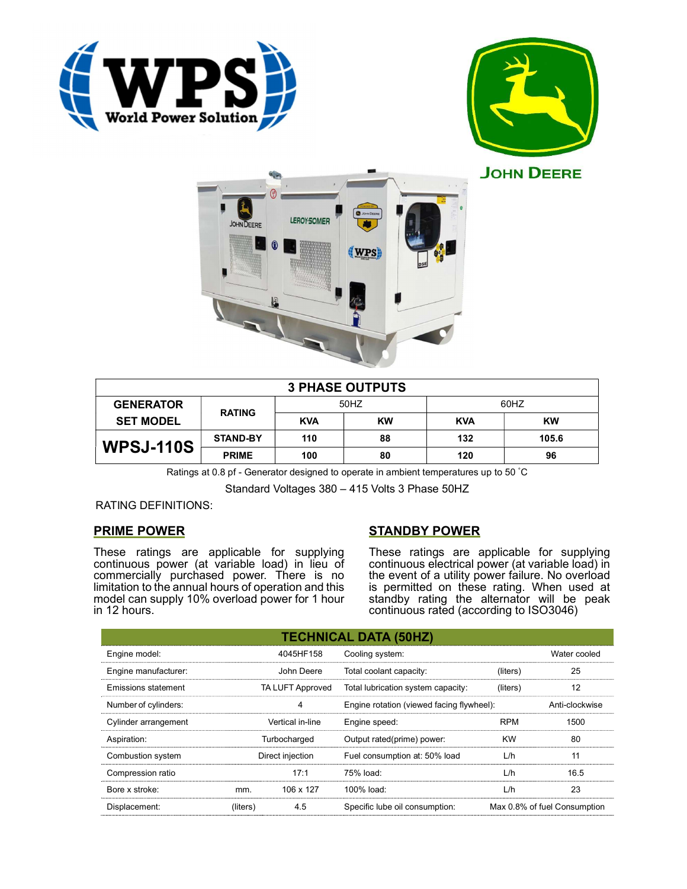





| <b>3 PHASE OUTPUTS</b> |                 |            |           |            |           |  |  |
|------------------------|-----------------|------------|-----------|------------|-----------|--|--|
| <b>GENERATOR</b>       | <b>RATING</b>   | 50HZ       |           | 60HZ       |           |  |  |
| <b>SET MODEL</b>       |                 | <b>KVA</b> | <b>KW</b> | <b>KVA</b> | <b>KW</b> |  |  |
| <b>WPSJ-110S</b>       | <b>STAND-BY</b> | 110        | 88        | 132        | 105.6     |  |  |
|                        | <b>PRIME</b>    | 100        | 80        | 120        | 96        |  |  |

Ratings at 0.8 pf - Generator designed to operate in ambient temperatures up to 50 °C

Standard Voltages 380 – 415 Volts 3 Phase 50HZ

# RATING DEFINITIONS:

# PRIME POWER

These ratings are applicable for supplying continuous power (at variable load) in lieu of commercially purchased power. There is no limitation to the annual hours of operation and this model can supply 10% overload power for 1 hour in 12 hours.

# STANDBY POWER

These ratings are applicable for supplying continuous electrical power (at variable load) in the event of a utility power failure. No overload is permitted on these rating. When used at standby rating the alternator will be peak continuous rated (according to ISO3046)

|                            |                         |                                           | <b>TECHNICAL DATA (50HZ)</b>       |                |                              |
|----------------------------|-------------------------|-------------------------------------------|------------------------------------|----------------|------------------------------|
| Engine model:              |                         | 4045HF158                                 | Cooling system:                    |                | Water cooled                 |
| Engine manufacturer:       |                         | John Deere                                | Total coolant capacity:            | (liters)       | 25                           |
| <b>Emissions statement</b> | <b>TA LUFT Approved</b> |                                           | Total lubrication system capacity: | (liters)       | 12                           |
| Number of cylinders:<br>4  |                         | Engine rotation (viewed facing flywheel): |                                    | Anti-clockwise |                              |
| Cylinder arrangement       | Vertical in-line        |                                           | Engine speed:                      | <b>RPM</b>     | 1500                         |
| Aspiration:                | Turbocharged            |                                           | Output rated(prime) power:         | <b>KW</b>      | 80                           |
| Combustion system          | Direct injection        |                                           | Fuel consumption at: 50% load      | L/h            | 11                           |
| Compression ratio          |                         | 17:1                                      | 75% load:                          | L/h            | 16.5                         |
| Bore x stroke:             | mm.                     | 106 x 127                                 | 100% load:                         | L/h            | 23                           |
| Displacement:              | (liters)                | 4.5                                       | Specific lube oil consumption:     |                | Max 0.8% of fuel Consumption |